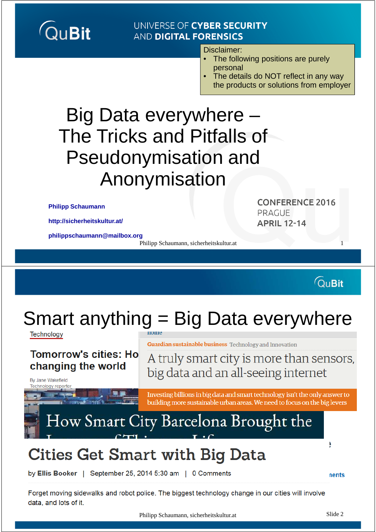#### UNIVERSE OF CYBER SECURITY **AND DIGITAL FORENSICS**

Disclaimer:

- The following positions are purely personal
- The details do NOT reflect in any way the products or solutions from employer

### Big Data everywhere – The Tricks and Pitfalls of Pseudonymisation and Anonymisation

**Philipp Schaumann**

**http://sicherheitskultur.at/**

**philippschaumann@mailbox.org** 

Philipp Schaumann, sicherheitskultur.at 1

**CONFERENCE 2016** PRAGUE **APRIL 12-14** 

**QuBit** 

# Smart anything = Big Data everywhere

Technology

#### **Tomorrow's cities: Ho** changing the world

nome

**Guardian sustainable business** Technology and Innovation

A truly smart city is more than sensors, big data and an all-seeing internet

By Jane Wakefield **Technology reporter** 

> Investing billions in big data and smart technology isn't the only answer to building more sustainable urban areas. We need to focus on the big levers

### How Smart City Barcelona Brought the

### **Cities Get Smart with Big Data**

by Ellis Booker | September 25, 2014 5:30 am | 0 Comments

**nents** 

ŀ

Forget moving sidewalks and robot police. The biggest technology change in our cities will involve data, and lots of it.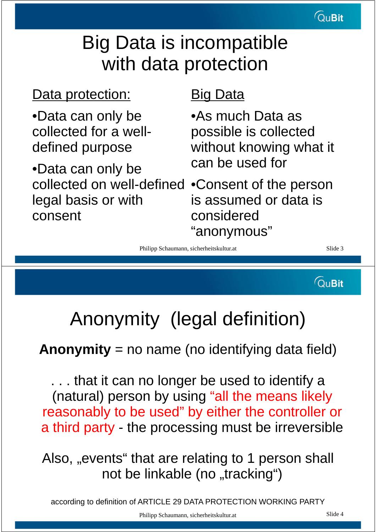### Big Data is incompatible with data protection

### Data protection:

•Data can only be collected for a welldefined purpose

•Data can only be collected on well-defined •Consent of the person legal basis or with consent

### Big Data

•As much Data as possible is collected without knowing what it can be used for

is assumed or data is considered "anonymous"

Philipp Schaumann, sicherheitskultur.at Slide 3

**QuBit** 

## Anonymity (legal definition)

### **Anonymity** = no name (no identifying data field)

. . . that it can no longer be used to identify a (natural) person by using "all the means likely reasonably to be used" by either the controller or a third party - the processing must be irreversible

Also, "events" that are relating to 1 person shall not be linkable (no "tracking")

according to definition of ARTICLE 29 DATA PROTECTION WORKING PARTY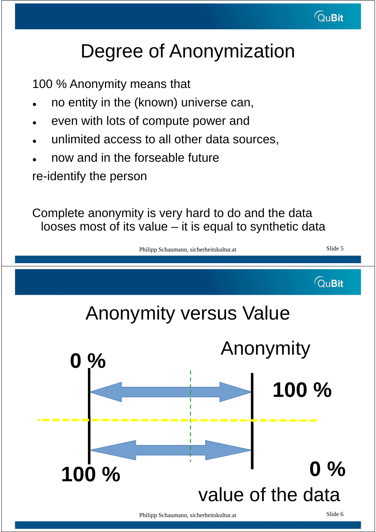

## Degree of Anonymization

100 % Anonymity means that

- no entity in the (known) universe can,
- even with lots of compute power and
- unlimited access to all other data sources,
- now and in the forseable future

re-identify the person

Complete anonymity is very hard to do and the data looses most of its value – it is equal to synthetic data

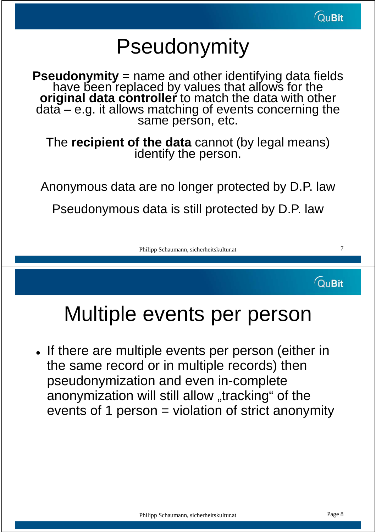# Pseudonymity

**Pseudonymity** = name and other identifying data fields have been replaced by values that allows for the **original data controller** to match the data with other data – e.g. it allows matching of events concerning the same person, etc.

The **recipient of the data** cannot (by legal means) identify the person.

Anonymous data are no longer protected by D.P. law

Pseudonymous data is still protected by D.P. law

Philipp Schaumann, sicherheitskultur.at 7

**QuBit** 

## Multiple events per person

. If there are multiple events per person (either in the same record or in multiple records) then pseudonymization and even in-complete anonymization will still allow "tracking" of the events of 1 person = violation of strict anonymity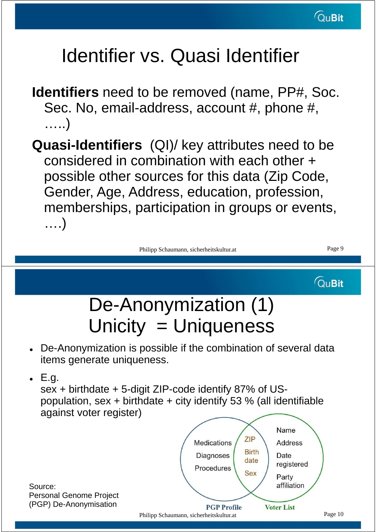# Identifier vs. Quasi Identifier

- **Identifiers** need to be removed (name, PP#, Soc. Sec. No, email-address, account #, phone #, …..)
- **Quasi-Identifiers** (QI)/ key attributes need to be considered in combination with each other + possible other sources for this data (Zip Code, Gender, Age, Address, education, profession, memberships, participation in groups or events, ….)

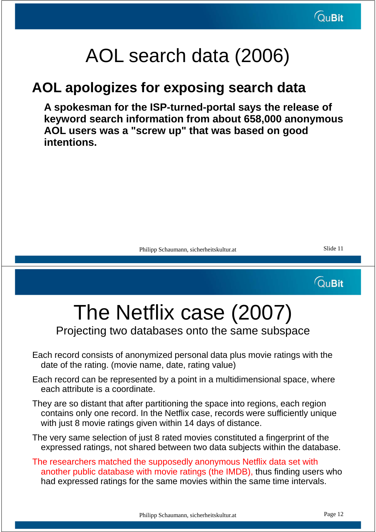### AOL search data (2006)

### **AOL apologizes for exposing search data**

**A spokesman for the ISP-turned-portal says the release of keyword search information from about 658,000 anonymous AOL users was a "screw up" that was based on good intentions.**

Philipp Schaumann, sicherheitskultur.at Slide 11

**QuBit** 

# The Netflix case (2007)

Projecting two databases onto the same subspace

- Each record consists of anonymized personal data plus movie ratings with the date of the rating. (movie name, date, rating value)
- Each record can be represented by a point in a multidimensional space, where each attribute is a coordinate.
- They are so distant that after partitioning the space into regions, each region contains only one record. In the Netflix case, records were sufficiently unique with just 8 movie ratings given within 14 days of distance.
- The very same selection of just 8 rated movies constituted a fingerprint of the expressed ratings, not shared between two data subjects within the database.
- The researchers matched the supposedly anonymous Netflix data set with another public database with movie ratings (the IMDB), thus finding users who had expressed ratings for the same movies within the same time intervals.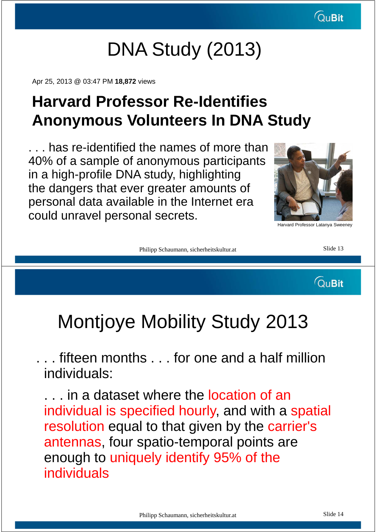## DNA Study (2013)

Apr 25, 2013 @ 03:47 PM **18,872** views

### **Harvard Professor Re-Identifies Anonymous Volunteers In DNA Study**

. . . has re-identified the names of more than 40% of a sample of anonymous participants in a high-profile DNA study, highlighting the dangers that ever greater amounts of personal data available in the Internet era could unravel personal secrets.



Harvard Professor Latanya Sweeney

Philipp Schaumann, sicherheitskultur.at Slide 13

**QuBit** 

### Montjoye Mobility Study 2013

. . . fifteen months . . . for one and a half million individuals:

... in a dataset where the location of an individual is specified hourly, and with a spatial resolution equal to that given by the carrier's antennas, four spatio-temporal points are enough to uniquely identify 95% of the individuals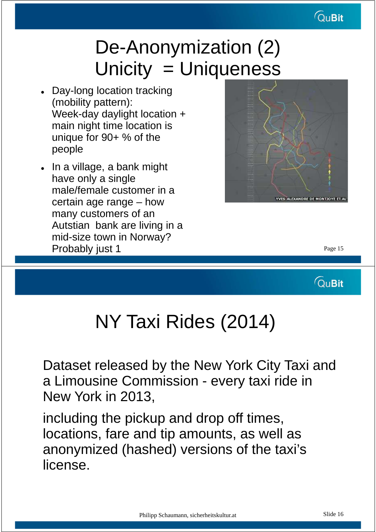

### De-Anonymization (2) Unicity = Uniqueness

- Day-long location tracking (mobility pattern): Week-day daylight location + main night time location is unique for 90+ % of the people
- In a village, a bank might have only a single male/female customer in a certain age range – how many customers of an Autstian bank are living in a mid-size town in Norway? Probably just 1 and 1 and 1 and 1 and 1 and 1 and 1 and 1 and 1 and 1 and 1 and 1 and 1 and 1 and 1 and 1 and 1 and 1 and 1 and 1 and 1 and 1 and 1 and 1 and 1 and 1 and 1 and 1 and 1 and 1 and 1 and 1 and 1 and 1 and 1 an



**QuBit** 

### NY Taxi Rides (2014)

Dataset released by the New York City Taxi and a Limousine Commission - every taxi ride in New York in 2013,

including the pickup and drop off times, locations, fare and tip amounts, as well as anonymized (hashed) versions of the taxi's license.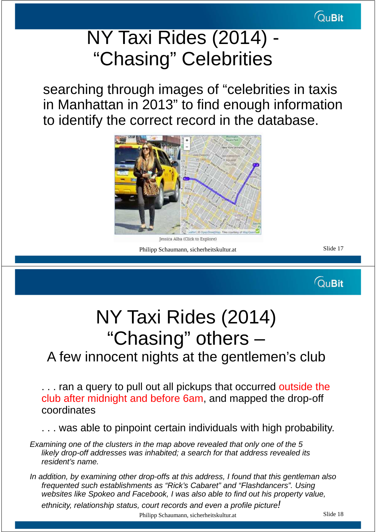### NY Taxi Rides (2014) - "Chasing" Celebrities

searching through images of "celebrities in taxis in Manhattan in 2013" to find enough information to identify the correct record in the database.



Jessica Alba (Click to Explore)

Philipp Schaumann, sicherheitskultur.at Slide 17

**QuBit** 

# NY Taxi Rides (2014) "Chasing" others –

### A few innocent nights at the gentlemen's club

... ran a query to pull out all pickups that occurred outside the club after midnight and before 6am, and mapped the drop-off coordinates

. . . was able to pinpoint certain individuals with high probability.

Examining one of the clusters in the map above revealed that only one of the 5 likely drop-off addresses was inhabited; a search for that address revealed its resident's name.

In addition, by examining other drop-offs at this address, I found that this gentleman also frequented such establishments as "Rick's Cabaret" and "Flashdancers". Using websites like Spokeo and Facebook, I was also able to find out his property value, ethnicity, relationship status, court records and even a profile picture!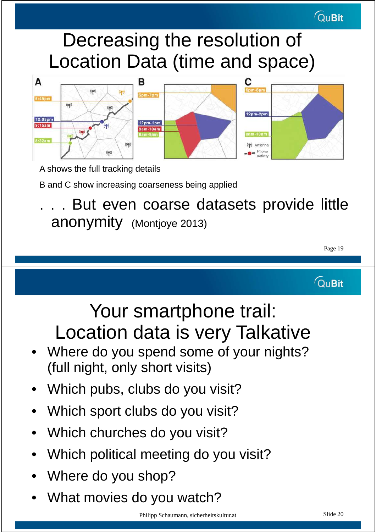### Decreasing the resolution of Location Data (time and space)



A shows the full tracking details

B and C show increasing coarseness being applied

But even coarse datasets provide little anonymity (Montjoye 2013)

Page 19

**QuBit** 

**QuBit** 

### Your smartphone trail: Location data is very Talkative

- Where do you spend some of your nights? (full night, only short visits)
- Which pubs, clubs do you visit?
- Which sport clubs do you visit?
- Which churches do you visit?
- Which political meeting do you visit?
- Where do you shop?
- What movies do you watch?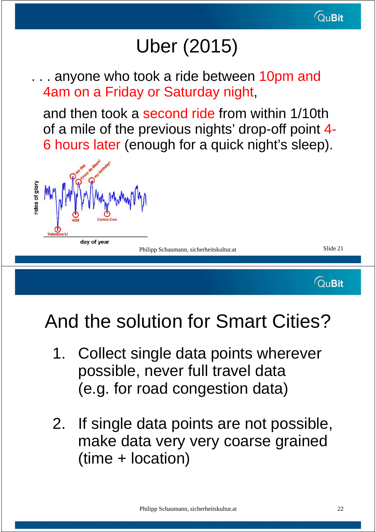# Uber (2015)

... anyone who took a ride between 10pm and 4am on a Friday or Saturday night,

and then took a second ride from within 1/10th of a mile of the previous nights' drop-off point 4- 6 hours later (enough for a quick night's sleep).



Philipp Schaumann, sicherheitskultur.at Slide 21

**QuBit** 

## And the solution for Smart Cities?

- 1. Collect single data points wherever possible, never full travel data (e.g. for road congestion data)
- 2. If single data points are not possible, make data very very coarse grained (time + location)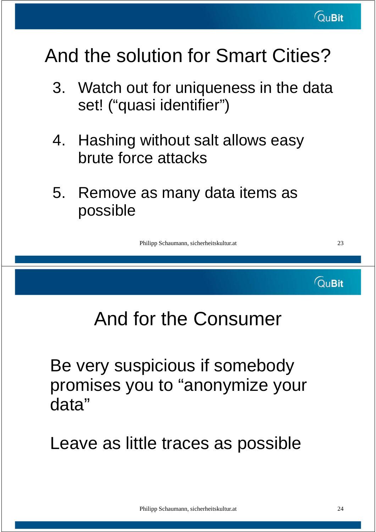## And the solution for Smart Cities?

- 3. Watch out for uniqueness in the data set! ("quasi identifier")
- 4. Hashing without salt allows easy brute force attacks
- 5. Remove as many data items as possible

Philipp Schaumann, sicherheitskultur.at 23

## And for the Consumer

Be very suspicious if somebody promises you to "anonymize your data"

Leave as little traces as possible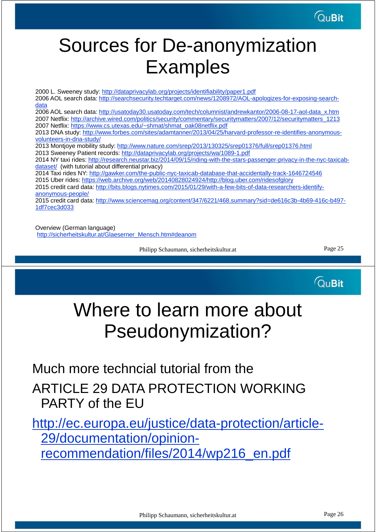### Sources for De-anonymization Examples

2000 L. Sweeney study: http://dataprivacylab.org/projects/identifiability/paper1.pdf 2006 AOL search data: http://searchsecurity.techtarget.com/news/1208972/AOL-apologizes-for-exposing-searchdata 2006 AOL search data: http://usatoday30.usatoday.com/tech/columnist/andrewkantor/2006-08-17-aol-data\_x.htm 2007 Netflix: http://archive.wired.com/politics/security/commentary/securitymatters/2007/12/securitymatters\_1213 2007 Netflix: https://www.cs.utexas.edu/~shmat/shmat\_oak08netflix.pdf 2013 DNA study: http://www.forbes.com/sites/adamtanner/2013/04/25/harvard-professor-re-identifies-anonymousvolunteers-in-dna-study/ 2013 Montjoye mobility study: http://www.nature.com/srep/2013/130325/srep01376/full/srep01376.html 2013 Sweeney Patient records: http://dataprivacylab.org/projects/wa/1089-1.pdf 2014 NY taxi rides: http://research.neustar.biz/2014/09/15/riding-with-the-stars-passenger-privacy-in-the-nyc-taxicabdataset/ (with tutorial about differential privacy) 2014 Taxi rides NY: http://gawker.com/the-public-nyc-taxicab-database-that-accidentally-track-1646724546 2015 Uber rides: https://web.archive.org/web/20140828024924/http://blog.uber.com/ridesofglory 2015 credit card data: http://bits.blogs.nytimes.com/2015/01/29/with-a-few-bits-of-data-researchers-identifyanonymous-people/ 2015 credit card data: http://www.sciencemag.org/content/347/6221/468.summary?sid=de616c3b-4b69-416c-b497- 1df7cec3d033

Overview (German language) http://sicherheitskultur.at/Glaeserner\_Mensch.htm#deanom

Philipp Schaumann, sicherheitskultur.at Page 25

**QuBit** 

### Where to learn more about Pseudonymization?

Much more techncial tutorial from the ARTICLE 29 DATA PROTECTION WORKING PARTY of the EU

http://ec.europa.eu/justice/data-protection/article-29/documentation/opinionrecommendation/files/2014/wp216\_en.pdf